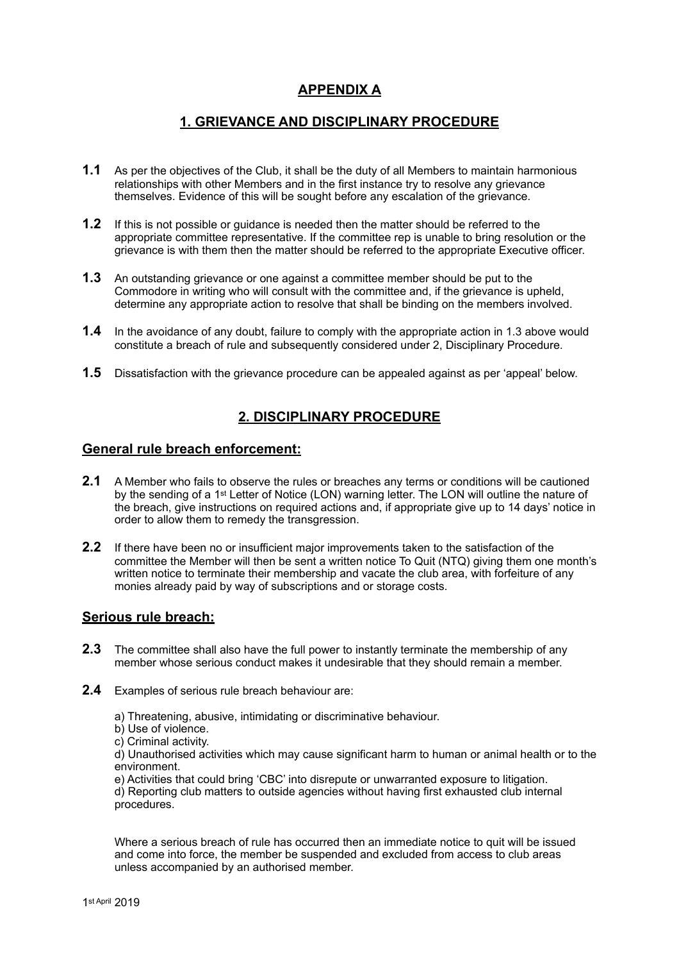# **APPENDIX A**

## **1. GRIEVANCE AND DISCIPLINARY PROCEDURE**

- **1.1** As per the objectives of the Club, it shall be the duty of all Members to maintain harmonious relationships with other Members and in the first instance try to resolve any grievance themselves. Evidence of this will be sought before any escalation of the grievance.
- **1.2** If this is not possible or guidance is needed then the matter should be referred to the appropriate committee representative. If the committee rep is unable to bring resolution or the grievance is with them then the matter should be referred to the appropriate Executive officer.
- **1.3** An outstanding grievance or one against a committee member should be put to the Commodore in writing who will consult with the committee and, if the grievance is upheld, determine any appropriate action to resolve that shall be binding on the members involved.
- **1.4** In the avoidance of any doubt, failure to comply with the appropriate action in 1.3 above would constitute a breach of rule and subsequently considered under 2, Disciplinary Procedure.
- **1.5** Dissatisfaction with the grievance procedure can be appealed against as per 'appeal' below.

### **2. DISCIPLINARY PROCEDURE**

### **General rule breach enforcement:**

- **2.1** A Member who fails to observe the rules or breaches any terms or conditions will be cautioned by the sending of a 1st Letter of Notice (LON) warning letter. The LON will outline the nature of the breach, give instructions on required actions and, if appropriate give up to 14 days' notice in order to allow them to remedy the transgression.
- **2.2** If there have been no or insufficient major improvements taken to the satisfaction of the committee the Member will then be sent a written notice To Quit (NTQ) giving them one month's written notice to terminate their membership and vacate the club area, with forfeiture of any monies already paid by way of subscriptions and or storage costs.

#### **Serious rule breach:**

- **2.3** The committee shall also have the full power to instantly terminate the membership of any member whose serious conduct makes it undesirable that they should remain a member.
- **2.4** Examples of serious rule breach behaviour are:
	- a) Threatening, abusive, intimidating or discriminative behaviour.
	- b) Use of violence.
	- c) Criminal activity.

d) Unauthorised activities which may cause significant harm to human or animal health or to the environment.

e) Activities that could bring 'CBC' into disrepute or unwarranted exposure to litigation.

d) Reporting club matters to outside agencies without having first exhausted club internal procedures.

Where a serious breach of rule has occurred then an immediate notice to quit will be issued and come into force, the member be suspended and excluded from access to club areas unless accompanied by an authorised member.